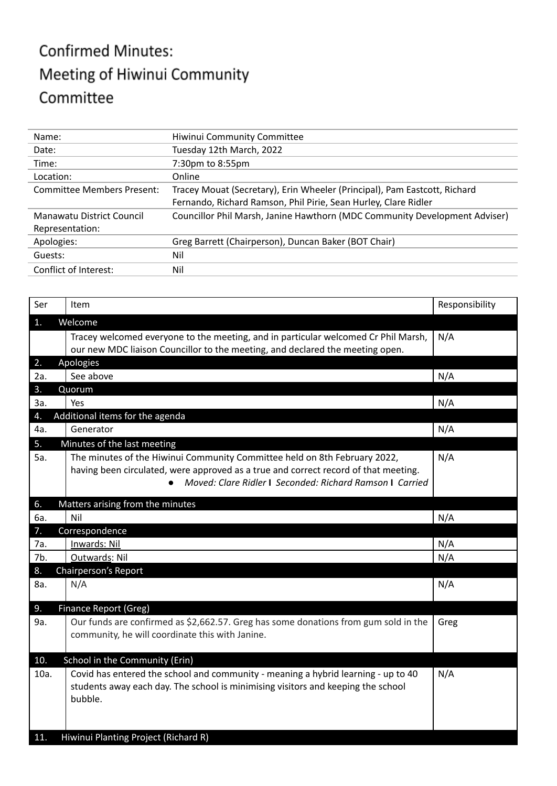## **Confirmed Minutes:** Meeting of Hiwinui Community Committee

| Name:                             | Hiwinui Community Committee                                                |  |
|-----------------------------------|----------------------------------------------------------------------------|--|
| Date:                             | Tuesday 12th March, 2022                                                   |  |
| Time:                             | 7:30pm to 8:55pm                                                           |  |
| Location:                         | Online                                                                     |  |
| <b>Committee Members Present:</b> | Tracey Mouat (Secretary), Erin Wheeler (Principal), Pam Eastcott, Richard  |  |
|                                   | Fernando, Richard Ramson, Phil Pirie, Sean Hurley, Clare Ridler            |  |
| Manawatu District Council         | Councillor Phil Marsh, Janine Hawthorn (MDC Community Development Adviser) |  |
| Representation:                   |                                                                            |  |
| Apologies:                        | Greg Barrett (Chairperson), Duncan Baker (BOT Chair)                       |  |
| Guests:                           | Nil                                                                        |  |
| Conflict of Interest:             | Nil                                                                        |  |

| Ser         | Item                                                                                                                                                                                                                         | Responsibility |
|-------------|------------------------------------------------------------------------------------------------------------------------------------------------------------------------------------------------------------------------------|----------------|
| 1.          | Welcome                                                                                                                                                                                                                      |                |
|             | Tracey welcomed everyone to the meeting, and in particular welcomed Cr Phil Marsh,<br>our new MDC liaison Councillor to the meeting, and declared the meeting open.                                                          | N/A            |
| 2.          | Apologies                                                                                                                                                                                                                    |                |
| 2a.         | See above                                                                                                                                                                                                                    | N/A            |
| 3.          | Quorum                                                                                                                                                                                                                       |                |
| За.         | Yes                                                                                                                                                                                                                          | N/A            |
| 4.          | Additional items for the agenda                                                                                                                                                                                              |                |
| 4a.         | Generator                                                                                                                                                                                                                    | N/A            |
| 5.          | Minutes of the last meeting                                                                                                                                                                                                  |                |
| 5a.         | The minutes of the Hiwinui Community Committee held on 8th February 2022,<br>having been circulated, were approved as a true and correct record of that meeting.<br>Moved: Clare Ridler I Seconded: Richard Ramson I Carried | N/A            |
| 6.          | Matters arising from the minutes                                                                                                                                                                                             |                |
| 6a.         | Nil                                                                                                                                                                                                                          | N/A            |
| 7.          | Correspondence                                                                                                                                                                                                               |                |
| 7a.         | Inwards: Nil                                                                                                                                                                                                                 | N/A            |
| 7b.         | Outwards: Nil                                                                                                                                                                                                                | N/A            |
| 8.          | Chairperson's Report                                                                                                                                                                                                         |                |
| 8a.         | N/A                                                                                                                                                                                                                          | N/A            |
| 9.          | <b>Finance Report (Greg)</b>                                                                                                                                                                                                 |                |
| 9a.         | Our funds are confirmed as \$2,662.57. Greg has some donations from gum sold in the<br>community, he will coordinate this with Janine.                                                                                       | Greg           |
| 10.         | School in the Community (Erin)                                                                                                                                                                                               |                |
| 10a.<br>11. | Covid has entered the school and community - meaning a hybrid learning - up to 40<br>students away each day. The school is minimising visitors and keeping the school<br>bubble.<br>Hiwinui Planting Project (Richard R)     | N/A            |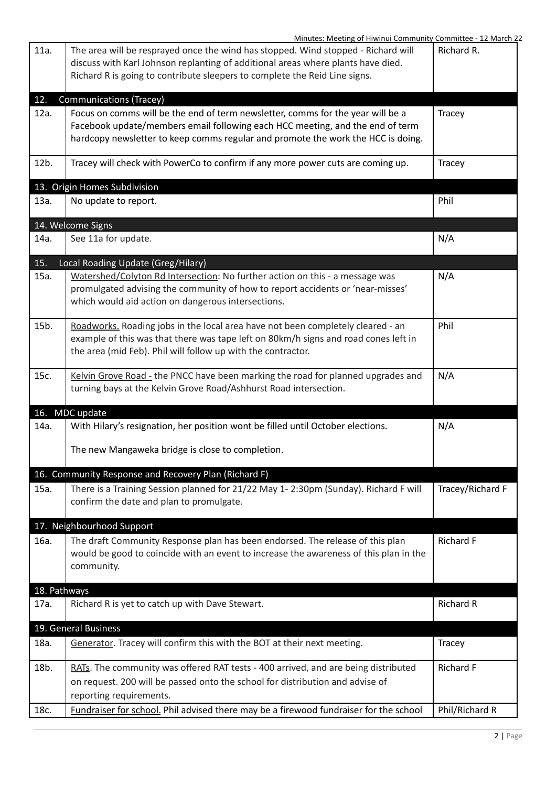| Minutes: Meeting of Hiwinui Community Committee - 12 March 22                                                                                                                                                                                                |                  |
|--------------------------------------------------------------------------------------------------------------------------------------------------------------------------------------------------------------------------------------------------------------|------------------|
| 11a.<br>The area will be resprayed once the wind has stopped. Wind stopped - Richard will<br>discuss with Karl Johnson replanting of additional areas where plants have died.<br>Richard R is going to contribute sleepers to complete the Reid Line signs.  | Richard R.       |
| 12.<br><b>Communications (Tracey)</b>                                                                                                                                                                                                                        |                  |
| Focus on comms will be the end of term newsletter, comms for the year will be a<br>12a.<br>Facebook update/members email following each HCC meeting, and the end of term<br>hardcopy newsletter to keep comms regular and promote the work the HCC is doing. | Tracey           |
| 12b.<br>Tracey will check with PowerCo to confirm if any more power cuts are coming up.                                                                                                                                                                      | Tracey           |
| 13. Origin Homes Subdivision                                                                                                                                                                                                                                 |                  |
| 13a.<br>No update to report.                                                                                                                                                                                                                                 | Phil             |
| 14. Welcome Signs                                                                                                                                                                                                                                            |                  |
| See 11a for update.<br>14a.                                                                                                                                                                                                                                  | N/A              |
| 15.<br>Local Roading Update (Greg/Hilary)                                                                                                                                                                                                                    |                  |
| Watershed/Colyton Rd Intersection: No further action on this - a message was<br>15a.<br>promulgated advising the community of how to report accidents or 'near-misses'<br>which would aid action on dangerous intersections.                                 | N/A              |
| 15b.<br>Roadworks. Roading jobs in the local area have not been completely cleared - an<br>example of this was that there was tape left on 80km/h signs and road cones left in<br>the area (mid Feb). Phil will follow up with the contractor.               | Phil             |
| Kelvin Grove Road - the PNCC have been marking the road for planned upgrades and<br>15c.<br>turning bays at the Kelvin Grove Road/Ashhurst Road intersection.                                                                                                | N/A              |
| 16.<br>MDC update                                                                                                                                                                                                                                            |                  |
| With Hilary's resignation, her position wont be filled until October elections.<br>14a.                                                                                                                                                                      | N/A              |
| The new Mangaweka bridge is close to completion.                                                                                                                                                                                                             |                  |
| 16. Community Response and Recovery Plan (Richard F)                                                                                                                                                                                                         |                  |
| There is a Training Session planned for 21/22 May 1-2:30pm (Sunday). Richard F will<br>15a.<br>confirm the date and plan to promulgate.                                                                                                                      | Tracey/Richard F |
| 17. Neighbourhood Support                                                                                                                                                                                                                                    |                  |
| The draft Community Response plan has been endorsed. The release of this plan<br>16a.<br>would be good to coincide with an event to increase the awareness of this plan in the<br>community.                                                                 | <b>Richard F</b> |
| 18. Pathways                                                                                                                                                                                                                                                 |                  |
| Richard R is yet to catch up with Dave Stewart.<br>17a.                                                                                                                                                                                                      | <b>Richard R</b> |
| 19. General Business                                                                                                                                                                                                                                         |                  |
| Generator. Tracey will confirm this with the BOT at their next meeting.<br>18a.                                                                                                                                                                              | Tracey           |
| RATs. The community was offered RAT tests - 400 arrived, and are being distributed<br>18b.<br>on request. 200 will be passed onto the school for distribution and advise of<br>reporting requirements.                                                       | <b>Richard F</b> |
| Fundraiser for school. Phil advised there may be a firewood fundraiser for the school<br>18c.                                                                                                                                                                | Phil/Richard R   |